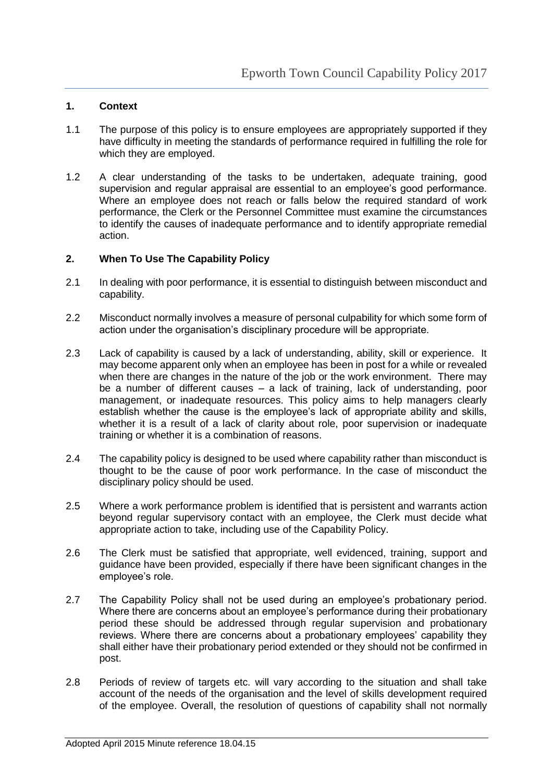## **1. Context**

- 1.1 The purpose of this policy is to ensure employees are appropriately supported if they have difficulty in meeting the standards of performance required in fulfilling the role for which they are employed.
- 1.2 A clear understanding of the tasks to be undertaken, adequate training, good supervision and regular appraisal are essential to an employee's good performance. Where an employee does not reach or falls below the required standard of work performance, the Clerk or the Personnel Committee must examine the circumstances to identify the causes of inadequate performance and to identify appropriate remedial action.

#### **2. When To Use The Capability Policy**

- 2.1 In dealing with poor performance, it is essential to distinguish between misconduct and capability.
- 2.2 Misconduct normally involves a measure of personal culpability for which some form of action under the organisation's disciplinary procedure will be appropriate.
- 2.3 Lack of capability is caused by a lack of understanding, ability, skill or experience. It may become apparent only when an employee has been in post for a while or revealed when there are changes in the nature of the job or the work environment. There may be a number of different causes – a lack of training, lack of understanding, poor management, or inadequate resources. This policy aims to help managers clearly establish whether the cause is the employee's lack of appropriate ability and skills, whether it is a result of a lack of clarity about role, poor supervision or inadequate training or whether it is a combination of reasons.
- 2.4 The capability policy is designed to be used where capability rather than misconduct is thought to be the cause of poor work performance. In the case of misconduct the disciplinary policy should be used.
- 2.5 Where a work performance problem is identified that is persistent and warrants action beyond regular supervisory contact with an employee, the Clerk must decide what appropriate action to take, including use of the Capability Policy.
- 2.6 The Clerk must be satisfied that appropriate, well evidenced, training, support and guidance have been provided, especially if there have been significant changes in the employee's role.
- 2.7 The Capability Policy shall not be used during an employee's probationary period. Where there are concerns about an employee's performance during their probationary period these should be addressed through regular supervision and probationary reviews. Where there are concerns about a probationary employees' capability they shall either have their probationary period extended or they should not be confirmed in post.
- 2.8 Periods of review of targets etc. will vary according to the situation and shall take account of the needs of the organisation and the level of skills development required of the employee. Overall, the resolution of questions of capability shall not normally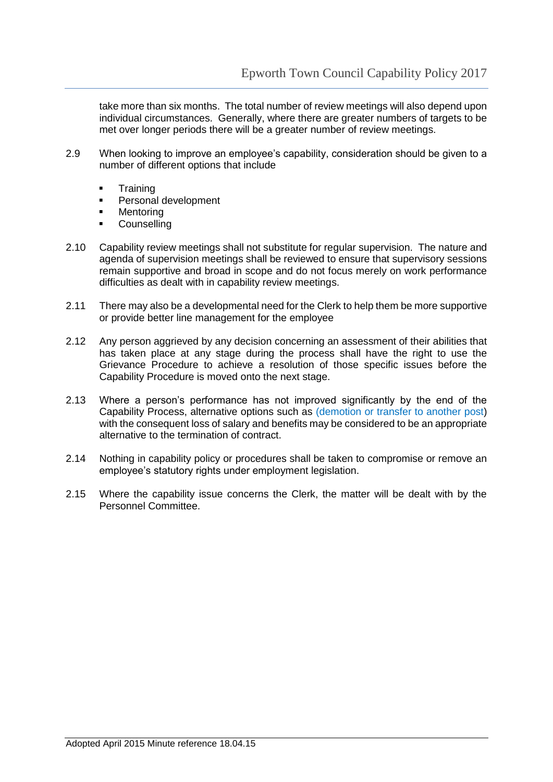take more than six months. The total number of review meetings will also depend upon individual circumstances. Generally, where there are greater numbers of targets to be met over longer periods there will be a greater number of review meetings.

- 2.9 When looking to improve an employee's capability, consideration should be given to a number of different options that include
	- **Training**
	- **Personal development**
	- **•** Mentoring
	- **Counselling**
- 2.10 Capability review meetings shall not substitute for regular supervision. The nature and agenda of supervision meetings shall be reviewed to ensure that supervisory sessions remain supportive and broad in scope and do not focus merely on work performance difficulties as dealt with in capability review meetings.
- 2.11 There may also be a developmental need for the Clerk to help them be more supportive or provide better line management for the employee
- 2.12 Any person aggrieved by any decision concerning an assessment of their abilities that has taken place at any stage during the process shall have the right to use the Grievance Procedure to achieve a resolution of those specific issues before the Capability Procedure is moved onto the next stage.
- 2.13 Where a person's performance has not improved significantly by the end of the Capability Process, alternative options such as (demotion or transfer to another post) with the consequent loss of salary and benefits may be considered to be an appropriate alternative to the termination of contract.
- 2.14 Nothing in capability policy or procedures shall be taken to compromise or remove an employee's statutory rights under employment legislation.
- 2.15 Where the capability issue concerns the Clerk, the matter will be dealt with by the Personnel Committee.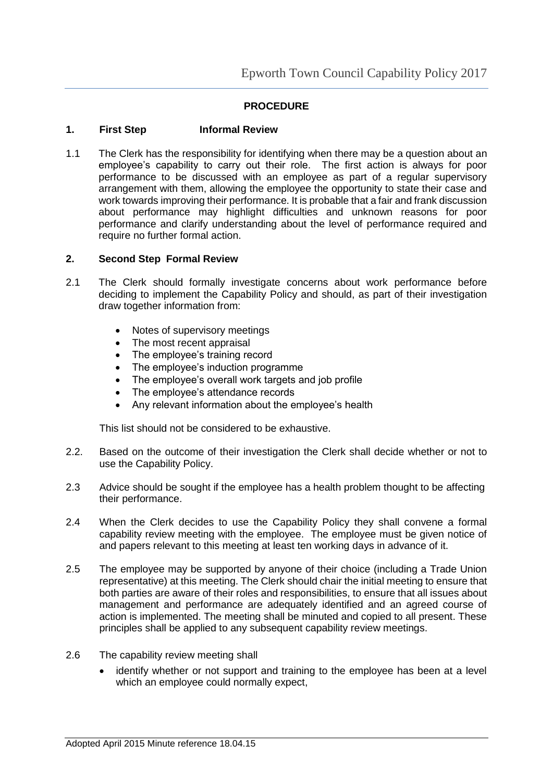# **PROCEDURE**

### **1. First Step Informal Review**

1.1 The Clerk has the responsibility for identifying when there may be a question about an employee's capability to carry out their role. The first action is always for poor performance to be discussed with an employee as part of a regular supervisory arrangement with them, allowing the employee the opportunity to state their case and work towards improving their performance. It is probable that a fair and frank discussion about performance may highlight difficulties and unknown reasons for poor performance and clarify understanding about the level of performance required and require no further formal action.

### **2. Second Step Formal Review**

- 2.1 The Clerk should formally investigate concerns about work performance before deciding to implement the Capability Policy and should, as part of their investigation draw together information from:
	- Notes of supervisory meetings
	- The most recent appraisal
	- The employee's training record
	- The employee's induction programme
	- The employee's overall work targets and job profile
	- The employee's attendance records
	- Any relevant information about the employee's health

This list should not be considered to be exhaustive.

- 2.2. Based on the outcome of their investigation the Clerk shall decide whether or not to use the Capability Policy.
- 2.3 Advice should be sought if the employee has a health problem thought to be affecting their performance.
- 2.4 When the Clerk decides to use the Capability Policy they shall convene a formal capability review meeting with the employee. The employee must be given notice of and papers relevant to this meeting at least ten working days in advance of it.
- 2.5 The employee may be supported by anyone of their choice (including a Trade Union representative) at this meeting. The Clerk should chair the initial meeting to ensure that both parties are aware of their roles and responsibilities, to ensure that all issues about management and performance are adequately identified and an agreed course of action is implemented. The meeting shall be minuted and copied to all present. These principles shall be applied to any subsequent capability review meetings.
- 2.6 The capability review meeting shall
	- identify whether or not support and training to the employee has been at a level which an employee could normally expect,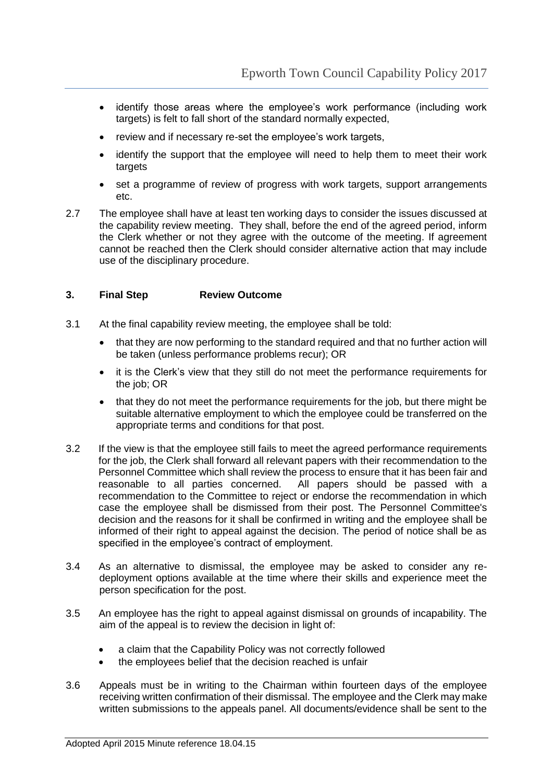- identify those areas where the employee's work performance (including work targets) is felt to fall short of the standard normally expected,
- review and if necessary re-set the employee's work targets,
- identify the support that the employee will need to help them to meet their work targets
- set a programme of review of progress with work targets, support arrangements etc.
- 2.7 The employee shall have at least ten working days to consider the issues discussed at the capability review meeting. They shall, before the end of the agreed period, inform the Clerk whether or not they agree with the outcome of the meeting. If agreement cannot be reached then the Clerk should consider alternative action that may include use of the disciplinary procedure.

# **3. Final Step Review Outcome**

- 3.1 At the final capability review meeting, the employee shall be told:
	- that they are now performing to the standard required and that no further action will be taken (unless performance problems recur); OR
	- it is the Clerk's view that they still do not meet the performance requirements for the job; OR
	- that they do not meet the performance requirements for the job, but there might be suitable alternative employment to which the employee could be transferred on the appropriate terms and conditions for that post.
- 3.2 If the view is that the employee still fails to meet the agreed performance requirements for the job, the Clerk shall forward all relevant papers with their recommendation to the Personnel Committee which shall review the process to ensure that it has been fair and reasonable to all parties concerned. All papers should be passed with a reasonable to all parties concerned. recommendation to the Committee to reject or endorse the recommendation in which case the employee shall be dismissed from their post. The Personnel Committee's decision and the reasons for it shall be confirmed in writing and the employee shall be informed of their right to appeal against the decision. The period of notice shall be as specified in the employee's contract of employment.
- 3.4 As an alternative to dismissal, the employee may be asked to consider any redeployment options available at the time where their skills and experience meet the person specification for the post.
- 3.5 An employee has the right to appeal against dismissal on grounds of incapability. The aim of the appeal is to review the decision in light of:
	- a claim that the Capability Policy was not correctly followed
	- the employees belief that the decision reached is unfair
- 3.6 Appeals must be in writing to the Chairman within fourteen days of the employee receiving written confirmation of their dismissal. The employee and the Clerk may make written submissions to the appeals panel. All documents/evidence shall be sent to the